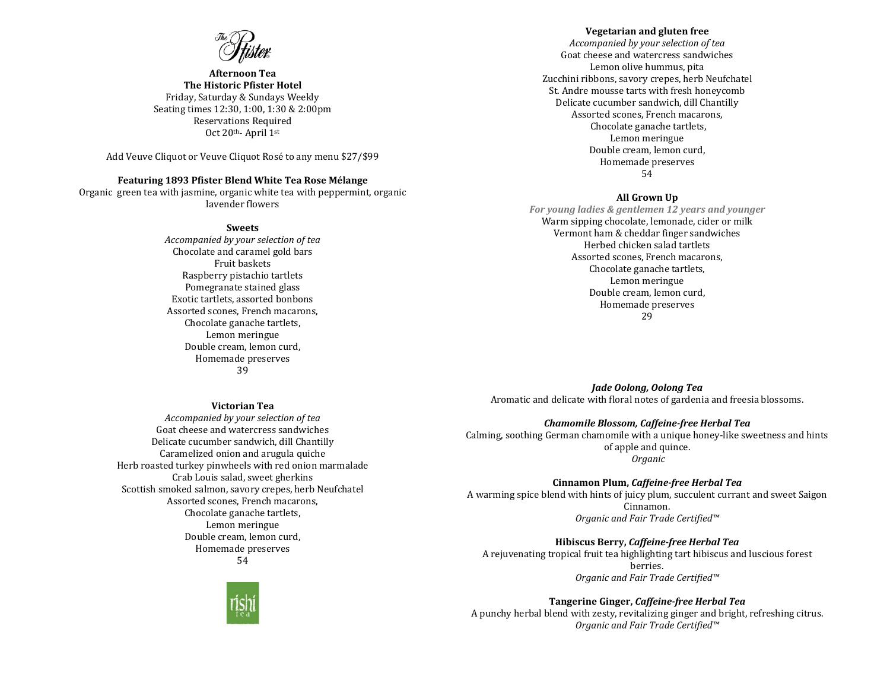**Afternoon Tea The Historic Pfister Hotel** Friday, Saturday & Sundays Weekly Seating times 12:30, 1:00, 1:30 & 2:00pm Reservations Required Oct 20th- April 1st

Add Veuve Cliquot or Veuve Cliquot Rosé to any menu \$27/\$99

## **Featuring 1893 Pfister Blend White Tea Rose Mélange**

Organic green tea with jasmine, organic white tea with peppermint, organic lavender flowers

#### **Sweets**

*Accompanied by your selection of tea* Chocolate and caramel gold bars Fruit baskets Raspberry pistachio tartlets Pomegranate stained glass Exotic tartlets, assorted bonbons Assorted scones, French macarons, Chocolate ganache tartlets, Lemon meringue Double cream, lemon curd, Homemade preserves 39

#### **Victorian Tea**

*Accompanied by your selection of tea* Goat cheese and watercress sandwiches Delicate cucumber sandwich, dill Chantilly Caramelized onion and arugula quiche Herb roasted turkey pinwheels with red onion marmalade Crab Louis salad, sweet gherkins Scottish smoked salmon, savory crepes, herb Neufchatel Assorted scones, French macarons, Chocolate ganache tartlets, Lemon meringue Double cream, lemon curd, Homemade preserves

54



# **Vegetarian and gluten free**

*Accompanied by your selection of tea* Goat cheese and watercress sandwiches Lemon olive hummus, pita Zucchini ribbons, savory crepes, herb Neufchatel St. Andre mousse tarts with fresh honeycomb Delicate cucumber sandwich, dill Chantilly Assorted scones, French macarons, Chocolate ganache tartlets, Lemon meringue Double cream, lemon curd, Homemade preserves 54

#### **All Grown Up**

*For young ladies & gentlemen 12 years and younger* Warm sipping chocolate, lemonade, cider or milk Vermont ham & cheddar finger sandwiches Herbed chicken salad tartlets Assorted scones, French macarons, Chocolate ganache tartlets, Lemon meringue Double cream, lemon curd, Homemade preserves 29

*Jade Oolong, Oolong Tea* Aromatic and delicate with floral notes of gardenia and freesia blossoms.

#### *Chamomile Blossom, Caffeine-free Herbal Tea*

Calming, soothing German chamomile with a unique honey-like sweetness and hints of apple and quince. *Organic*

**Cinnamon Plum,** *Caffeine-free Herbal Tea*

A warming spice blend with hints of juicy plum, succulent currant and sweet Saigon Cinnamon. *Organic and Fair Trade Certified™*

**Hibiscus Berry,** *Caffeine-free Herbal Tea* A rejuvenating tropical fruit tea highlighting tart hibiscus and luscious forest berries. *Organic and Fair Trade Certified™*

**Tangerine Ginger,** *Caffeine-free Herbal Tea* A punchy herbal blend with zesty, revitalizing ginger and bright, refreshing citrus. *Organic and Fair Trade Certified™*